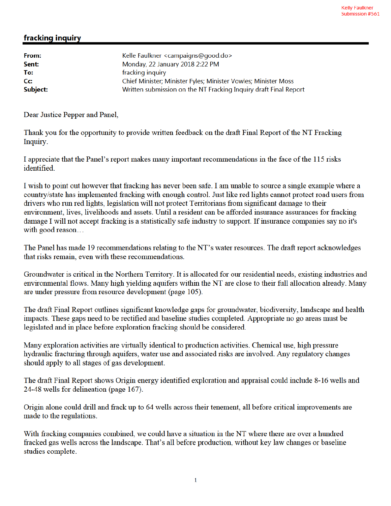## fracking inquiry

| From:    | Kelle Faulkner <campaigns@good.do></campaigns@good.do>           |
|----------|------------------------------------------------------------------|
| Sent:    | Monday, 22 January 2018 2:22 PM                                  |
| To:      | fracking inquiry                                                 |
| Cc:      | Chief Minister; Minister Fyles; Minister Vowles; Minister Moss   |
| Subject: | Written submission on the NT Fracking Inquiry draft Final Report |

Dear Justice Pepper and Panel,

Thank you for the opportunity to provide written feedback on the draft Final Report of the NT Fracking Inquiry.

I appreciate that the Panel's report makes many important recommendations in the face of the 115 risks identified.

I wish to point out however that fracking has never been safe. I am unable to source a single example where a country/state has implemented fracking with enough control. Just like red lights cannot protect road users from drivers who run red lights, legislation will not protect Territorians from significant damage to their environment, lives, livelihoods and assets. Until a resident can be afforded insurance assurances for fracking damage I will not accept fracking is a statistically safe industry to support. If insurance companies say no it's with good reason...

The Panel has made 19 recommendations relating to the NT's water resources. The draft report acknowledges that risks remain, even with these recommendations.

Groundwater is critical in the Northern Territory. It is allocated for our residential needs, existing industries and environmental flows. Many high yielding aquifers within the NT are close to their full allocation already. Many are under pressure from resource development (page 105).

The draft Final Report outlines significant knowledge gaps for groundwater, biodiversity, landscape and health impacts. These gaps need to be rectified and baseline studies completed. Appropriate no go areas must be legislated and in place before exploration fracking should be considered.

Many exploration activities are virtually identical to production activities. Chemical use, high pressure hydraulic fracturing through aquifers, water use and associated risks are involved. Any regulatory changes should apply to all stages of gas development.

The draft Final Report shows Origin energy identified exploration and appraisal could include 8-16 wells and 24-48 wells for delineation (page 167).

Origin alone could drill and frack up to 64 wells across their tenement, all before critical improvements are made to the regulations.

With fracking companies combined, we could have a situation in the NT where there are over a hundred fracked gas wells across the landscape. That's all before production, without key law changes or baseline studies complete.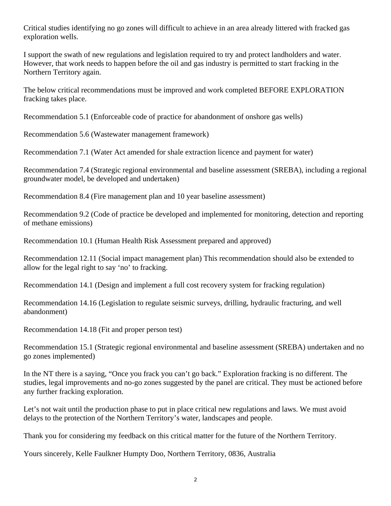Critical studies identifying no go zones will difficult to achieve in an area already littered with fracked gas exploration wells.

I support the swath of new regulations and legislation required to try and protect landholders and water. However, that work needs to happen before the oil and gas industry is permitted to start fracking in the Northern Territory again.

The below critical recommendations must be improved and work completed BEFORE EXPLORATION fracking takes place.

Recommendation 5.1 (Enforceable code of practice for abandonment of onshore gas wells)

Recommendation 5.6 (Wastewater management framework)

Recommendation 7.1 (Water Act amended for shale extraction licence and payment for water)

Recommendation 7.4 (Strategic regional environmental and baseline assessment (SREBA), including a regional groundwater model, be developed and undertaken)

Recommendation 8.4 (Fire management plan and 10 year baseline assessment)

Recommendation 9.2 (Code of practice be developed and implemented for monitoring, detection and reporting of methane emissions)

Recommendation 10.1 (Human Health Risk Assessment prepared and approved)

Recommendation 12.11 (Social impact management plan) This recommendation should also be extended to allow for the legal right to say 'no' to fracking.

Recommendation 14.1 (Design and implement a full cost recovery system for fracking regulation)

Recommendation 14.16 (Legislation to regulate seismic surveys, drilling, hydraulic fracturing, and well abandonment)

Recommendation 14.18 (Fit and proper person test)

Recommendation 15.1 (Strategic regional environmental and baseline assessment (SREBA) undertaken and no go zones implemented)

In the NT there is a saying, "Once you frack you can't go back." Exploration fracking is no different. The studies, legal improvements and no-go zones suggested by the panel are critical. They must be actioned before any further fracking exploration.

Let's not wait until the production phase to put in place critical new regulations and laws. We must avoid delays to the protection of the Northern Territory's water, landscapes and people.

Thank you for considering my feedback on this critical matter for the future of the Northern Territory.

Yours sincerely, Kelle Faulkner Humpty Doo, Northern Territory, 0836, Australia